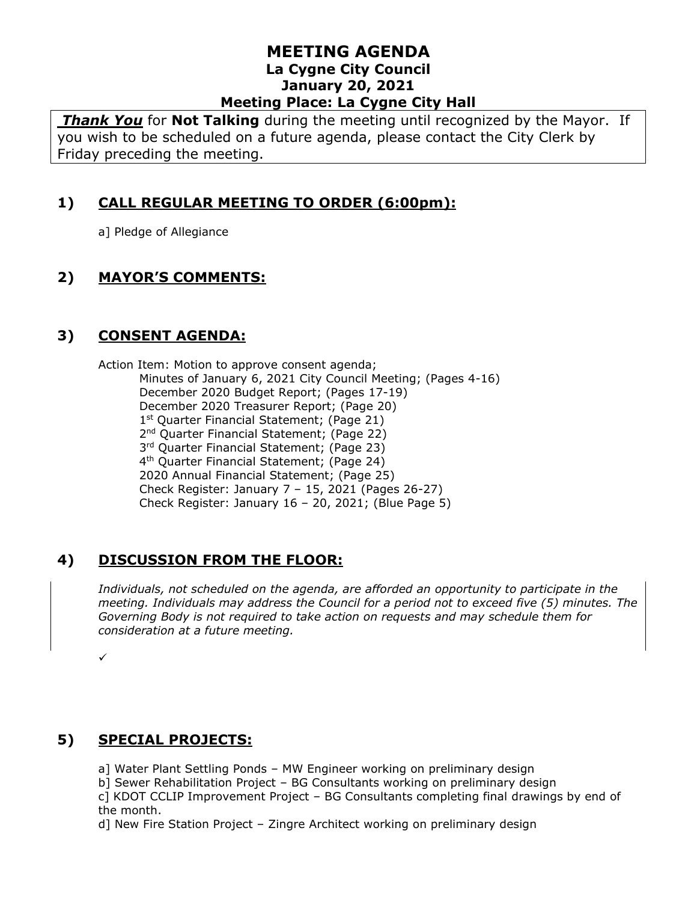*Thank You* for **Not Talking** during the meeting until recognized by the Mayor. If you wish to be scheduled on a future agenda, please contact the City Clerk by Friday preceding the meeting.

# **1) CALL REGULAR MEETING TO ORDER (6:00pm):**

a] Pledge of Allegiance

# **2) MAYOR'S COMMENTS:**

# **3) CONSENT AGENDA:**

Action Item: Motion to approve consent agenda; Minutes of January 6, 2021 City Council Meeting; (Pages 4-16) December 2020 Budget Report; (Pages 17-19) December 2020 Treasurer Report; (Page 20) 1<sup>st</sup> Quarter Financial Statement; (Page 21) 2<sup>nd</sup> Quarter Financial Statement; (Page 22) 3<sup>rd</sup> Quarter Financial Statement; (Page 23) 4 th Quarter Financial Statement; (Page 24) 2020 Annual Financial Statement; (Page 25) Check Register: January 7 – 15, 2021 (Pages 26-27) Check Register: January 16 – 20, 2021; (Blue Page 5)

# **4) DISCUSSION FROM THE FLOOR:**

*Individuals, not scheduled on the agenda, are afforded an opportunity to participate in the meeting. Individuals may address the Council for a period not to exceed five (5) minutes. The Governing Body is not required to take action on requests and may schedule them for consideration at a future meeting.* 

 $\cdot$ 

#### **5) SPECIAL PROJECTS:**

a] Water Plant Settling Ponds – MW Engineer working on preliminary design

b] Sewer Rehabilitation Project – BG Consultants working on preliminary design

c] KDOT CCLIP Improvement Project – BG Consultants completing final drawings by end of the month.

d] New Fire Station Project – Zingre Architect working on preliminary design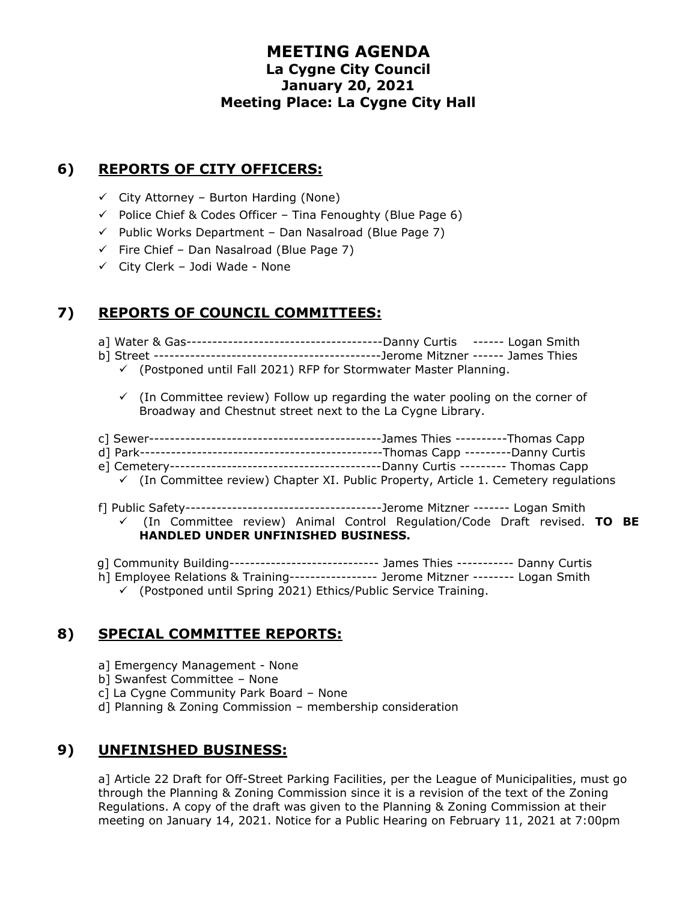### **6) REPORTS OF CITY OFFICERS:**

- $\checkmark$  City Attorney Burton Harding (None)
- $\checkmark$  Police Chief & Codes Officer Tina Fenoughty (Blue Page 6)
- $\checkmark$  Public Works Department Dan Nasalroad (Blue Page 7)
- $\checkmark$  Fire Chief Dan Nasalroad (Blue Page 7)
- $\checkmark$  City Clerk Jodi Wade None

# **7) REPORTS OF COUNCIL COMMITTEES:**

a] Water & Gas--------------------------------------Danny Curtis ------ Logan Smith

- b] Street --------------------------------------------Jerome Mitzner ------ James Thies
	- $\checkmark$  (Postponed until Fall 2021) RFP for Stormwater Master Planning.
	- $\checkmark$  (In Committee review) Follow up regarding the water pooling on the corner of Broadway and Chestnut street next to the La Cygne Library.
- c] Sewer---------------------------------------------James Thies ----------Thomas Capp
- d] Park-----------------------------------------------Thomas Capp ---------Danny Curtis
- e] Cemetery-----------------------------------------Danny Curtis --------- Thomas Capp
- $\checkmark$  (In Committee review) Chapter XI. Public Property, Article 1. Cemetery regulations
- f] Public Safety--------------------------------------Jerome Mitzner ------- Logan Smith ✓ (In Committee review) Animal Control Regulation/Code Draft revised. **TO BE HANDLED UNDER UNFINISHED BUSINESS.**
- g] Community Building------------------------------ James Thies ----------- Danny Curtis
- h] Employee Relations & Training----------------- Jerome Mitzner -------- Logan Smith
	- ✓ (Postponed until Spring 2021) Ethics/Public Service Training.

# **8) SPECIAL COMMITTEE REPORTS:**

- a] Emergency Management None
- b] Swanfest Committee None
- c] La Cygne Community Park Board None
- d] Planning & Zoning Commission membership consideration

# **9) UNFINISHED BUSINESS:**

a] Article 22 Draft for Off-Street Parking Facilities, per the League of Municipalities, must go through the Planning & Zoning Commission since it is a revision of the text of the Zoning Regulations. A copy of the draft was given to the Planning & Zoning Commission at their meeting on January 14, 2021. Notice for a Public Hearing on February 11, 2021 at 7:00pm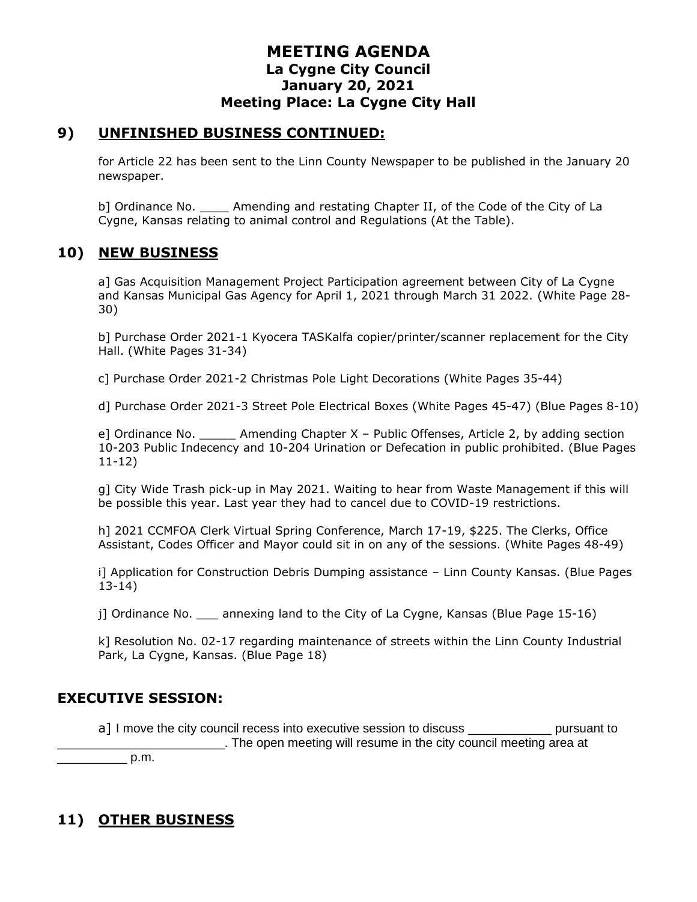#### **9) UNFINISHED BUSINESS CONTINUED:**

for Article 22 has been sent to the Linn County Newspaper to be published in the January 20 newspaper.

b] Ordinance No. Amending and restating Chapter II, of the Code of the City of La Cygne, Kansas relating to animal control and Regulations (At the Table).

### **10) NEW BUSINESS**

a] Gas Acquisition Management Project Participation agreement between City of La Cygne and Kansas Municipal Gas Agency for April 1, 2021 through March 31 2022. (White Page 28- 30)

b] Purchase Order 2021-1 Kyocera TASKalfa copier/printer/scanner replacement for the City Hall. (White Pages 31-34)

c] Purchase Order 2021-2 Christmas Pole Light Decorations (White Pages 35-44)

d] Purchase Order 2021-3 Street Pole Electrical Boxes (White Pages 45-47) (Blue Pages 8-10)

e] Ordinance No. \_\_\_\_\_ Amending Chapter X – Public Offenses, Article 2, by adding section 10-203 Public Indecency and 10-204 Urination or Defecation in public prohibited. (Blue Pages 11-12)

g] City Wide Trash pick-up in May 2021. Waiting to hear from Waste Management if this will be possible this year. Last year they had to cancel due to COVID-19 restrictions.

h] 2021 CCMFOA Clerk Virtual Spring Conference, March 17-19, \$225. The Clerks, Office Assistant, Codes Officer and Mayor could sit in on any of the sessions. (White Pages 48-49)

i] Application for Construction Debris Dumping assistance – Linn County Kansas. (Blue Pages 13-14)

j] Ordinance No. \_\_\_ annexing land to the City of La Cygne, Kansas (Blue Page 15-16)

k] Resolution No. 02-17 regarding maintenance of streets within the Linn County Industrial Park, La Cygne, Kansas. (Blue Page 18)

#### **EXECUTIVE SESSION:**

a] I move the city council recess into executive session to discuss \_\_\_\_\_\_\_\_\_\_\_\_\_\_ pursuant to \_\_\_\_\_\_\_\_\_\_\_\_\_\_\_\_\_\_\_\_\_\_\_\_. The open meeting will resume in the city council meeting area at

 $p.m.$ 

# **11) OTHER BUSINESS**